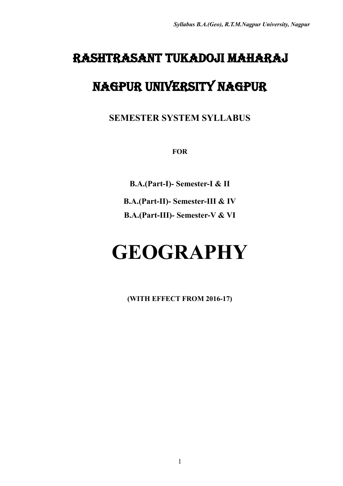# Rashtrasant Tukadoji Maharaj

# Nagpur University Nagpur

**SEMESTER SYSTEM SYLLABUS**

**FOR**

**B.A.(Part-I)- Semester-I & II B.A.(Part-II)- Semester-III & IV B.A.(Part-III)- Semester-V & VI**

# **GEOGRAPHY**

**(WITH EFFECT FROM 2016-17)**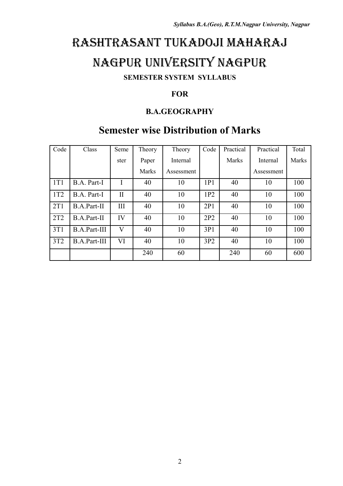# Rashtrasant Tukadoji Maharaj

# Nagpur University Nagpur

### **SEMESTER SYSTEM SYLLABUS**

### **FOR**

### **B.A.GEOGRAPHY**

### **Semester wise Distribution of Marks**

| Code | Class               | Seme         | Theory       | Theory     | Code | Practical | Practical  | Total |
|------|---------------------|--------------|--------------|------------|------|-----------|------------|-------|
|      |                     | ster         | Paper        | Internal   |      | Marks     | Internal   | Marks |
|      |                     |              | <b>Marks</b> | Assessment |      |           | Assessment |       |
| 1T1  | B.A. Part-I         |              | 40           | 10         | 1P1  | 40        | 10         | 100   |
| 1T2  | B.A. Part-I         | $\mathbf{I}$ | 40           | 10         | 1P2  | 40        | 10         | 100   |
| 2T1  | <b>B.A.Part-II</b>  | Ш            | 40           | 10         | 2P1  | 40        | 10         | 100   |
| 2T2  | <b>B.A.Part-II</b>  | IV           | 40           | 10         | 2P2  | 40        | 10         | 100   |
| 3T1  | <b>B.A.Part-III</b> | $\rm V$      | 40           | 10         | 3P1  | 40        | 10         | 100   |
| 3T2  | <b>B.A.Part-III</b> | VI           | 40           | 10         | 3P2  | 40        | 10         | 100   |
|      |                     |              | 240          | 60         |      | 240       | 60         | 600   |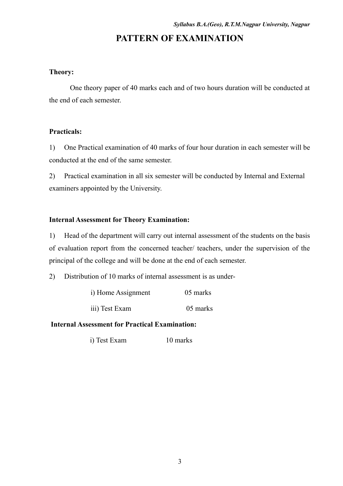### **PATTERN OF EXAMINATION**

#### **Theory:**

One theory paper of 40 marks each and of two hours duration will be conducted at the end of each semester.

#### **Practicals:**

1) One Practical examination of 40 marks of four hour duration in each semester will be conducted at the end of the same semester.

2) Practical examination in all six semester will be conducted by Internal and External examiners appointed by the University.

### **Internal Assessment for Theory Examination:**

1) Head of the department will carry out internal assessment of the students on the basis of evaluation report from the concerned teacher/ teachers, under the supervision of the principal of the college and will be done at the end of each semester.

2) Distribution of 10 marks of internal assessment is as under-

| i) Home Assignment | 05 marks |
|--------------------|----------|
| iii) Test Exam     | 05 marks |

### **Internal Assessment for Practical Examination:**

i) Test Exam 10 marks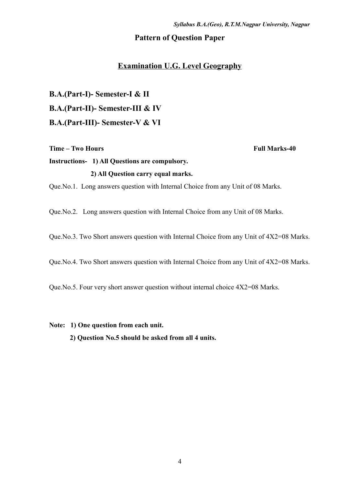### **Pattern of Question Paper**

### **Examination U.G. Level Geography**

**B.A.(Part-I)- Semester-I & II B.A.(Part-II)- Semester-III & IV B.A.(Part-III)- Semester-V & VI**

**Time – Two Hours Full Marks-40** 

### **Instructions- 1) All Questions are compulsory. 2) All Question carry equal marks.**

Que.No.1. Long answers question with Internal Choice from any Unit of 08 Marks.

Que.No.2. Long answers question with Internal Choice from any Unit of 08 Marks.

Que.No.3. Two Short answers question with Internal Choice from any Unit of 4X2=08 Marks.

Que.No.4. Two Short answers question with Internal Choice from any Unit of 4X2=08 Marks.

Que.No.5. Four very short answer question without internal choice 4X2=08 Marks.

**Note: 1) One question from each unit.**

**2) Question No.5 should be asked from all 4 units.**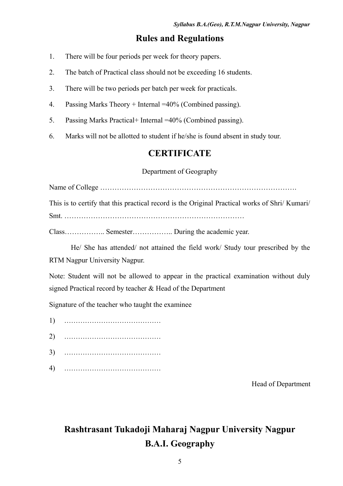### **Rules and Regulations**

- 1. There will be four periods per week for theory papers.
- 2. The batch of Practical class should not be exceeding 16 students.
- 3. There will be two periods per batch per week for practicals.
- 4. Passing Marks Theory + Internal =40% (Combined passing).
- 5. Passing Marks Practical+ Internal =40% (Combined passing).
- 6. Marks will not be allotted to student if he/she is found absent in study tour.

### **CERTIFICATE**

### Department of Geography

Name of College ……………………………………………………………………….

This is to certify that this practical record is the Original Practical works of Shri/ Kumari/ Smt. …………………………………………………………………

Class…………….. Semester…………….. During the academic year.

He/ She has attended/ not attained the field work/ Study tour prescribed by the RTM Nagpur University Nagpur.

Note: Student will not be allowed to appear in the practical examination without duly signed Practical record by teacher & Head of the Department

Signature of the teacher who taught the examinee

- 1) ……………………………………
- 2) ……………………………………
- 3) ……………………………………
- 4) ……………………………………

Head of Department

### **Rashtrasant Tukadoji Maharaj Nagpur University Nagpur B.A.I. Geography**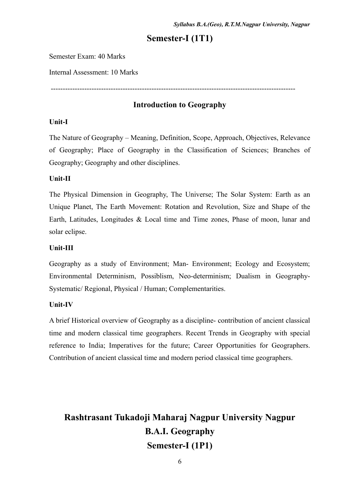### **Semester-I (1T1)**

Semester Exam: 40 Marks

Internal Assessment: 10 Marks

------------------------------------------------------------------------------------------------------

### **Introduction to Geography**

#### **Unit-I**

The Nature of Geography – Meaning, Definition, Scope, Approach, Objectives, Relevance of Geography; Place of Geography in the Classification of Sciences; Branches of Geography; Geography and other disciplines.

### **Unit-II**

The Physical Dimension in Geography, The Universe; The Solar System: Earth as an Unique Planet, The Earth Movement: Rotation and Revolution, Size and Shape of the Earth, Latitudes, Longitudes & Local time and Time zones, Phase of moon, lunar and solar eclipse.

#### **Unit-III**

Geography as a study of Environment; Man- Environment; Ecology and Ecosystem; Environmental Determinism, Possiblism, Neo-determinism; Dualism in Geography-Systematic/ Regional, Physical / Human; Complementarities.

### **Unit-IV**

A brief Historical overview of Geography as a discipline- contribution of ancient classical time and modern classical time geographers. Recent Trends in Geography with special reference to India; Imperatives for the future; Career Opportunities for Geographers. Contribution of ancient classical time and modern period classical time geographers.

### **Rashtrasant Tukadoji Maharaj Nagpur University Nagpur B.A.I. Geography Semester-I (1P1)**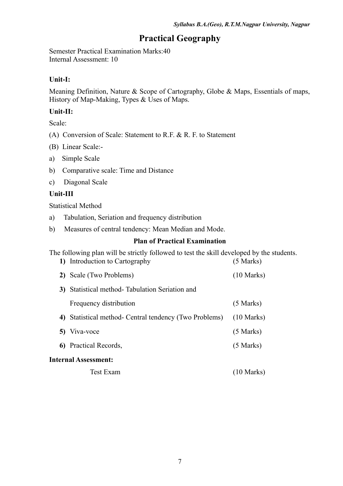### **Practical Geography**

Semester Practical Examination Marks:40 Internal Assessment: 10

### **Unit-I:**

Meaning Definition, Nature & Scope of Cartography, Globe & Maps, Essentials of maps, History of Map-Making, Types & Uses of Maps.

### **Unit-II:**

Scale:

- (A) Conversion of Scale: Statement to R.F. & R. F. to Statement
- (B) Linear Scale:-
- a) Simple Scale
- b) Comparative scale: Time and Distance
- c) Diagonal Scale

### **Unit-III**

Statistical Method

- a) Tabulation, Seriation and frequency distribution
- b) Measures of central tendency: Mean Median and Mode.

### **Plan of Practical Examination**

The following plan will be strictly followed to test the skill developed by the students. **1)** Introduction to Cartography (5 Marks)

| 2) Scale (Two Problems)                                | $(10 \text{ Marks})$ |
|--------------------------------------------------------|----------------------|
| 3) Statistical method-Tabulation Seriation and         |                      |
| Frequency distribution                                 | $(5$ Marks)          |
| 4) Statistical method- Central tendency (Two Problems) | $(10 \text{ Marks})$ |
| 5) Viva-voce                                           | $(5$ Marks)          |
| 6) Practical Records,                                  | $(5$ Marks)          |
| <b>Internal Assessment:</b>                            |                      |
| Test Exam                                              | $(10 \text{ Marks})$ |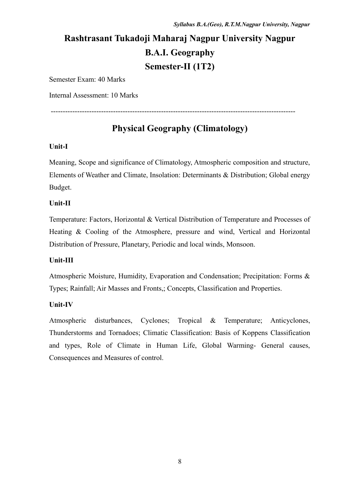------------------------------------------------------------------------------------------------------

### **Rashtrasant Tukadoji Maharaj Nagpur University Nagpur B.A.I. Geography Semester-II (1T2)**

Semester Exam: 40 Marks

Internal Assessment: 10 Marks

### **Physical Geography (Climatology)**

### **Unit-I**

Meaning, Scope and significance of Climatology, Atmospheric composition and structure, Elements of Weather and Climate, Insolation: Determinants & Distribution; Global energy Budget.

### **Unit-II**

Temperature: Factors, Horizontal & Vertical Distribution of Temperature and Processes of Heating & Cooling of the Atmosphere, pressure and wind, Vertical and Horizontal Distribution of Pressure, Planetary, Periodic and local winds, Monsoon.

### **Unit-III**

Atmospheric Moisture, Humidity, Evaporation and Condensation; Precipitation: Forms & Types; Rainfall; Air Masses and Fronts,; Concepts, Classification and Properties.

### **Unit-IV**

Atmospheric disturbances, Cyclones; Tropical & Temperature; Anticyclones, Thunderstorms and Tornadoes; Climatic Classification: Basis of Koppens Classification and types, Role of Climate in Human Life, Global Warming- General causes, Consequences and Measures of control.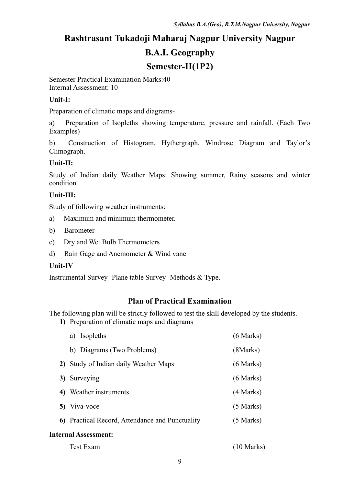### **Rashtrasant Tukadoji Maharaj Nagpur University Nagpur B.A.I. Geography Semester-II(1P2)**

Semester Practical Examination Marks:40 Internal Assessment: 10

### **Unit-I:**

Preparation of climatic maps and diagrams-

a) Preparation of Isopleths showing temperature, pressure and rainfall. (Each Two Examples)

b) Construction of Histogram, Hythergraph, Windrose Diagram and Taylor's Climograph.

### **Unit-II:**

Study of Indian daily Weather Maps: Showing summer, Rainy seasons and winter condition.

### **Unit-III:**

Study of following weather instruments:

- a) Maximum and minimum thermometer.
- b) Barometer
- c) Dry and Wet Bulb Thermometers
- d) Rain Gage and Anemometer & Wind vane

### **Unit-IV**

Instrumental Survey- Plane table Survey- Methods & Type.

### **Plan of Practical Examination**

The following plan will be strictly followed to test the skill developed by the students. **1)** Preparation of climatic maps and diagrams

| a) Isopleths                                    | $(6$ Marks)          |
|-------------------------------------------------|----------------------|
| b) Diagrams (Two Problems)                      | (8Marks)             |
| 2) Study of Indian daily Weather Maps           | $(6$ Marks)          |
| 3) Surveying                                    | $(6$ Marks)          |
| 4) Weather instruments                          | (4 Marks)            |
| 5) Viva-voce                                    | $(5$ Marks)          |
| 6) Practical Record, Attendance and Punctuality | $(5$ Marks)          |
| <b>Internal Assessment:</b>                     |                      |
| <b>Test Exam</b>                                | $(10 \text{ Marks})$ |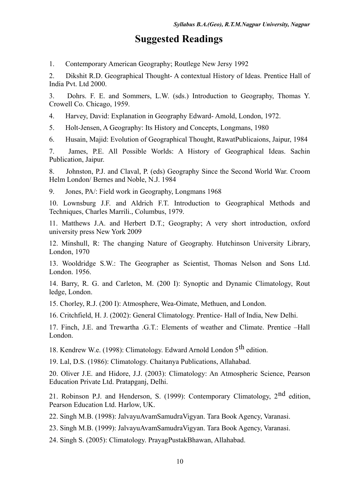### **Suggested Readings**

1. Contemporary American Geography; Routlege New Jersy 1992

2. Dikshit R.D. Geographical Thought- A contextual History of Ideas. Prentice Hall of India Pvt. Ltd 2000.

3. Dohrs. F. E. and Sommers, L.W. (sds.) Introduction to Geography, Thomas Y. Crowell Co. Chicago, 1959.

4. Harvey, David: Explanation in Geography Edward- Amold, London, 1972.

5. Holt-Jensen, A Geography: Its History and Concepts, Longmans, 1980

6. Husain, Majid: Evolution of Geographical Thought, RawatPublicaions, Jaipur, 1984

7. James, P.E. All Possible Worlds: A History of Geographical Ideas. Sachin Publication, Jaipur.

8. Johnston, P.J. and Claval, P. (eds) Geography Since the Second World War. Croom Helm London/ Bernes and Noble, N.J. 1984

9. Jones, PA/: Field work in Geography, Longmans 1968

10. Lownsburg J.F. and Aldrich F.T. Introduction to Geographical Methods and Techniques, Charles Marrili., Columbus, 1979.

11. Matthews J.A. and Herbert D.T.; Geography; A very short introduction, oxford university press New York 2009

12. Minshull, R: The changing Nature of Geography. Hutchinson University Library, London, 1970

13. Wooldridge S.W.: The Geographer as Scientist, Thomas Nelson and Sons Ltd. London. 1956.

14. Barry, R. G. and Carleton, M. (200 I): Synoptic and Dynamic Climatology, Rout ledge, London.

15. Chorley, R.J. (200 I): Atmosphere, Wea-Oimate, Methuen, and London.

16. Critchfield, H. J. (2002): General Climatology. Prentice- Hall of India, New Delhi.

17. Finch, J.E. and Trewartha .G.T.: Elements of weather and Climate. Prentice –Hall London.

18. Kendrew W.e. (1998): Climatology. Edward Arnold London 5<sup>th</sup> edition.

19. Lal, D.S. (1986): Climatology. Chaitanya Publications, Allahabad.

20. Oliver J.E. and Hidore, J.J. (2003): Climatology: An Atmospheric Science, Pearson Education Private Ltd. Pratapganj, Delhi.

21. Robinson P.J. and Henderson, S. (1999): Contemporary Climatology,  $2^{nd}$  edition, Pearson Education Ltd. Harlow, UK.

22. Singh M.B. (1998): JalvayuAvamSamudraVigyan. Tara Book Agency, Varanasi.

23. Singh M.B. (1999): JalvayuAvamSamudraVigyan. Tara Book Agency, Varanasi.

24. Singh S. (2005): Climatology. PrayagPustakBhawan, Allahabad.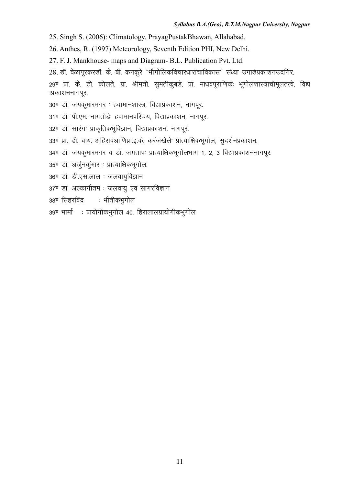25. Singh S. (2006): Climatology. PrayagPustakBhawan, Allahabad.

26. Anthes, R. (1997) Meteorology, Seventh Edition PHI, New Delhi.

27. F. J. Mankhouse- maps and Diagram- B.L. Publication Pvt. Ltd.

28. डॉ. वेळापूरकरडॉ. के. बी. कनकूरे ''भौगोलिकविचारधारांचाविकास'' संध्या उगाडेप्रकाशनउदगिर.

29ण प्रा. के. टी. कोलते, प्रा. श्रीमती. सुमतीकूबडे, प्रा. माधवपूराणिकः भूगोलशास्त्राचीमूलतत्वे, विद्य ाप्रकाशननागपूर.

30ण डॉ. जयकूमारमगर : हवामानशास्त्र, विद्याप्रकाशन, नागपूर.

31ण्डॉ. पी.एम. नागतोडेः हवामानपरिचय, विद्याप्रकाशन, नागपूर.

- 32ण् डॉ. सारंगः प्राकृतिकभूविज्ञान, विद्याप्रकाशन, नागपूर.
- 33ण् प्रा. डी. वाय. अहिरावआणिप्रा.इ.के. करंजखेलेः प्रात्याक्षिकभूगोल, सुदर्शनप्रकाशन.
- 34<sup>0</sup> डॉ. जयकुमारमगर व डॉ. जगतापः प्रात्याक्षिकभूगोलभाग 1, 2, 3 विद्याप्रकाशननागपूर.
- 35ण् डॉ. अर्जुनकुंभार : प्रात्याक्षिकभूगोल.
- 36ण् डॉ. डी.एस.लाल : जलवायुविज्ञान
- 37ण डा. अल्कागौतम : जलवायू एव सागरविज्ञान
- 38ण सिंहरविंद्र : भौतीकभूगोल
- 39ण् भार्मा : प्रायोगीकभूगोल 40. हिरालालप्रायोगीकभूगोल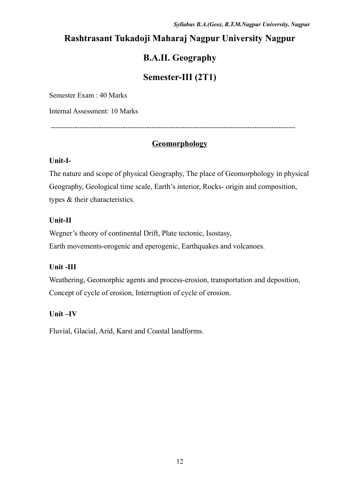### **Rashtrasant Tukadoji Maharaj Nagpur University Nagpur**

### **B.A.II. Geography**

### **Semester-III (2T1)**

Semester Exam : 40 Marks

Internal Assessment: 10 Marks

------------------------------------------------------------------------------------------------------

### **Geomorphology**

### **Unit-I-**

The nature and scope of physical Geography, The place of Geomorphology in physical Geography, Geological time scale, Earth's interior, Rocks- origin and composition, types & their characteristics.

### **Unit-II**

Wegner's theory of continental Drift, Plate tectonic, Isostasy, Earth movements-orogenic and eperogenic, Earthquakes and volcanoes.

### **Unit -III**

Weathering, Geomorphic agents and process-erosion, transportation and deposition, Concept of cycle of erosion, Interruption of cycle of erosion.

### **Unit –IV**

Fluvial, Glacial, Arid, Karst and Coastal landforms.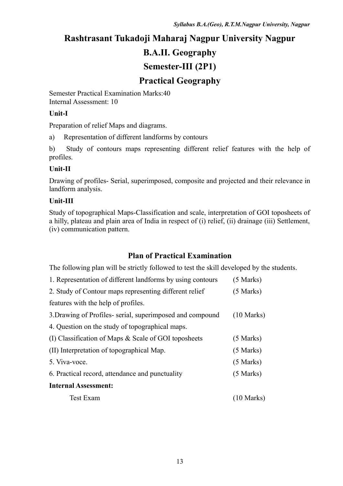### **Rashtrasant Tukadoji Maharaj Nagpur University Nagpur B.A.II. Geography Semester-III (2P1) Practical Geography**

Semester Practical Examination Marks:40 Internal Assessment: 10

### **Unit-I**

Preparation of relief Maps and diagrams.

a) Representation of different landforms by contours

b) Study of contours maps representing different relief features with the help of profiles.

### **Unit-II**

Drawing of profiles- Serial, superimposed, composite and projected and their relevance in landform analysis.

### **Unit-III**

Study of topographical Maps-Classification and scale, interpretation of GOI toposheets of a hilly, plateau and plain area of India in respect of (i) relief, (ii) drainage (iii) Settlement, (iv) communication pattern.

### **Plan of Practical Examination**

| 1. Representation of different landforms by using contours | $(5$ Marks)          |
|------------------------------------------------------------|----------------------|
| 2. Study of Contour maps representing different relief     | $(5$ Marks)          |
| features with the help of profiles.                        |                      |
| 3. Drawing of Profiles-serial, superimposed and compound   | $(10 \text{ Marks})$ |
| 4. Question on the study of topographical maps.            |                      |
| (I) Classification of Maps $\&$ Scale of GOI toposheets    | $(5$ Marks)          |
| (II) Interpretation of topographical Map.                  | $(5$ Marks)          |
| 5. Viva-voce.                                              | $(5$ Marks)          |
| 6. Practical record, attendance and punctuality            | $(5$ Marks)          |
| <b>Internal Assessment:</b>                                |                      |
| <b>Test Exam</b>                                           | $(10 \text{ Marks})$ |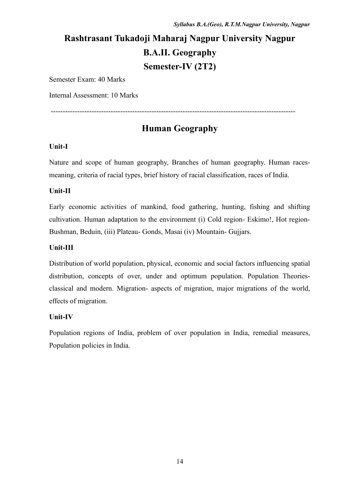### **Rashtrasant Tukadoji Maharaj Nagpur University Nagpur B.A.II. Geography Semester-IV (2T2)**

Semester Exam: 40 Marks

Internal Assessment: 10 Marks

### **Human Geography**

------------------------------------------------------------------------------------------------------

### **Unit-I**

Nature and scope of human geography, Branches of human geography. Human racesmeaning, criteria of racial types, brief history of racial classification, races of India.

### **Unit-II**

Early economic activities of mankind, food gathering, hunting, fishing and shifting cultivation. Human adaptation to the environment (i) Cold region- Eskimo!, Hot region-Bushman, Beduin, (iii) Plateau- Gonds, Masai (iv) Mountain- Gujjars.

### **Unit-III**

Distribution of world population, physical, economic and social factors influencing spatial distribution, concepts of over, under and optimum population. Population Theoriesclassical and modern. Migration- aspects of migration, major migrations of the world, effects of migration.

### **Unit-IV**

Population regions of India, problem of over population in India, remedial measures, Population policies in India.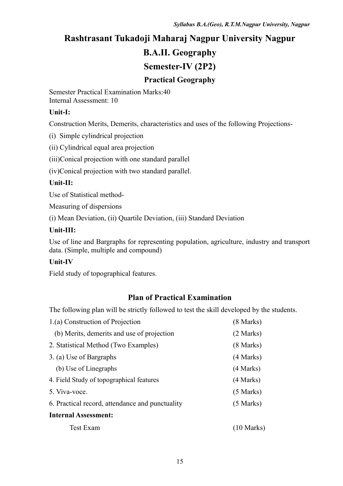# **Rashtrasant Tukadoji Maharaj Nagpur University Nagpur B.A.II. Geography Semester-IV (2P2)**

### **Practical Geography**

Semester Practical Examination Marks:40 Internal Assessment: 10

### **Unit-I:**

Construction Merits, Demerits, characteristics and uses of the following Projections-

(i) Simple cylindrical projection

(ii) Cylindrical equal area projection

(iii)Conical projection with one standard parallel

(iv)Conical projection with two standard parallel.

### **Unit-II:**

Use of Statistical method-

Measuring of dispersions

(i) Mean Deviation, (ii) Quartile Deviation, (iii) Standard Deviation

### **Unit-III:**

Use of line and Bargraphs for representing population, agriculture, industry and transport data. (Simple, multiple and compound)

### **Unit-IV**

Field study of topographical features.

### **Plan of Practical Examination**

| 1.(a) Construction of Projection                | $(8$ Marks) |
|-------------------------------------------------|-------------|
| (b) Merits, demerits and use of projection      | (2 Marks)   |
| 2. Statistical Method (Two Examples)            | $(8$ Marks) |
| 3. (a) Use of Bargraphs                         | (4 Marks)   |
| (b) Use of Linegraphs                           | (4 Marks)   |
| 4. Field Study of topographical features        | (4 Marks)   |
| 5. Viva-voce.                                   | $(5$ Marks) |
| 6. Practical record, attendance and punctuality | $(5$ Marks) |
| <b>Internal Assessment:</b>                     |             |
| Test Exam                                       | (10 Marks)  |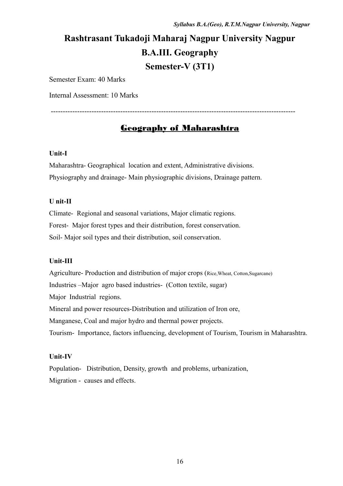### **Rashtrasant Tukadoji Maharaj Nagpur University Nagpur B.A.III. Geography Semester-V (3T1)**

Semester Exam: 40 Marks

Internal Assessment: 10 Marks

### Geography of Maharashtra

------------------------------------------------------------------------------------------------------

#### **Unit-I**

Maharashtra- Geographical location and extent, Administrative divisions. Physiography and drainage- Main physiographic divisions, Drainage pattern.

#### **U nit-II**

Climate- Regional and seasonal variations, Major climatic regions. Forest- Major forest types and their distribution, forest conservation. Soil- Major soil types and their distribution, soil conservation.

#### **Unit-III**

Agriculture- Production and distribution of major crops (Rice,Wheat, Cotton,Sugarcane) Industries –Major agro based industries- (Cotton textile, sugar) Major Industrial regions. Mineral and power resources-Distribution and utilization of Iron ore, Manganese, Coal and major hydro and thermal power projects. Tourism- Importance, factors influencing, development of Tourism, Tourism in Maharashtra.

#### **Unit-IV**

Population- Distribution, Density, growth and problems, urbanization, Migration - causes and effects.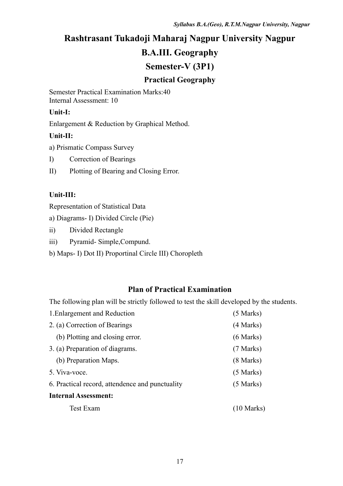# **Rashtrasant Tukadoji Maharaj Nagpur University Nagpur B.A.III. Geography**

### **Semester-V (3P1)**

### **Practical Geography**

Semester Practical Examination Marks:40 Internal Assessment: 10

### **Unit-I:**

Enlargement & Reduction by Graphical Method.

### **Unit-II:**

a) Prismatic Compass Survey

I) Correction of Bearings

II) Plotting of Bearing and Closing Error.

### **Unit-III:**

Representation of Statistical Data

- a) Diagrams- I) Divided Circle (Pie)
- ii) Divided Rectangle
- iii) Pyramid- Simple,Compund.
- b) Maps- I) Dot II) Proportinal Circle III) Choropleth

### **Plan of Practical Examination**

| 1. Enlargement and Reduction                    | $(5$ Marks)          |
|-------------------------------------------------|----------------------|
| 2. (a) Correction of Bearings                   | (4 Marks)            |
| (b) Plotting and closing error.                 | $(6$ Marks)          |
| 3. (a) Preparation of diagrams.                 | (7 Marks)            |
| (b) Preparation Maps.                           | $(8$ Marks)          |
| 5. Viva-voce.                                   | $(5$ Marks)          |
| 6. Practical record, attendence and punctuality | $(5$ Marks)          |
| <b>Internal Assessment:</b>                     |                      |
| <b>Test Exam</b>                                | $(10 \text{ Marks})$ |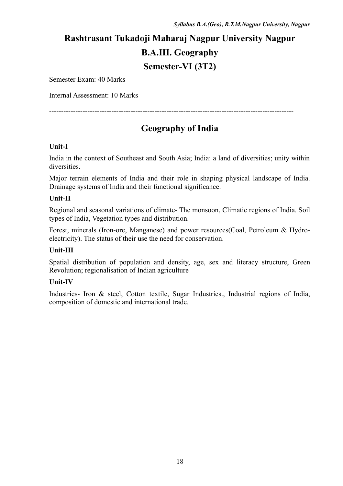### **Rashtrasant Tukadoji Maharaj Nagpur University Nagpur B.A.III. Geography Semester-VI (3T2)**

Semester Exam: 40 Marks

Internal Assessment: 10 Marks

------------------------------------------------------------------------------------------------------

### **Geography of India**

#### **Unit-I**

India in the context of Southeast and South Asia; India: a land of diversities; unity within diversities.

Major terrain elements of India and their role in shaping physical landscape of India. Drainage systems of India and their functional significance.

#### **Unit-II**

Regional and seasonal variations of climate- The monsoon, Climatic regions of India. Soil types of India, Vegetation types and distribution.

Forest, minerals (Iron-ore, Manganese) and power resources(Coal, Petroleum & Hydroelectricity). The status of their use the need for conservation.

#### **Unit-III**

Spatial distribution of population and density, age, sex and literacy structure, Green Revolution; regionalisation of Indian agriculture

#### **Unit-IV**

Industries- Iron & steel, Cotton textile, Sugar Industries., Industrial regions of India, composition of domestic and international trade.